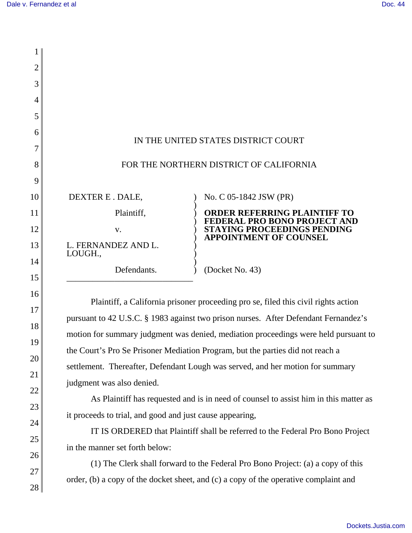16

17

18

19

20

21

22

23

24

25

26

27

28

| $\overline{2}$ |                     |                                                             |
|----------------|---------------------|-------------------------------------------------------------|
| 3              |                     |                                                             |
| $\overline{4}$ |                     |                                                             |
| 5              |                     |                                                             |
| 6              |                     |                                                             |
|                |                     | IN THE UNITED STATES DISTRICT COURT                         |
| 8              |                     | FOR THE NORTHERN DISTRICT OF CALIFORNIA                     |
| 9              |                     |                                                             |
| 10             | DEXTER E. DALE,     | No. C 05-1842 JSW (PR)                                      |
| 11             | Plaintiff,          | <b>ORDER REFERRING PLAINTIFF TO</b>                         |
| 12             | V.                  | FEDERAL PRO BONO PROJECT AND<br>STAYING PROCEEDINGS PENDING |
| 13             | L. FERNANDEZ AND L. | <b>APPOINTMENT OF COUNSEL</b>                               |
| 14             | LOUGH.,             |                                                             |
| 15             | Defendants.         | (Docket No. 43)                                             |

Plaintiff, a California prisoner proceeding pro se, filed this civil rights action pursuant to 42 U.S.C. § 1983 against two prison nurses. After Defendant Fernandez's motion for summary judgment was denied, mediation proceedings were held pursuant to the Court's Pro Se Prisoner Mediation Program, but the parties did not reach a settlement. Thereafter, Defendant Lough was served, and her motion for summary judgment was also denied.

As Plaintiff has requested and is in need of counsel to assist him in this matter as it proceeds to trial, and good and just cause appearing,

IT IS ORDERED that Plaintiff shall be referred to the Federal Pro Bono Project in the manner set forth below:

(1) The Clerk shall forward to the Federal Pro Bono Project: (a) a copy of this order, (b) a copy of the docket sheet, and (c) a copy of the operative complaint and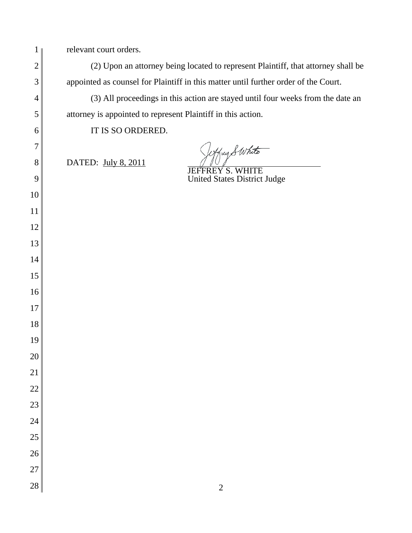| 1              | relevant court orders.                                                              |
|----------------|-------------------------------------------------------------------------------------|
| $\mathbf{2}$   | (2) Upon an attorney being located to represent Plaintiff, that attorney shall be   |
| 3              | appointed as counsel for Plaintiff in this matter until further order of the Court. |
| $\overline{4}$ | (3) All proceedings in this action are stayed until four weeks from the date an     |
| 5              | attorney is appointed to represent Plaintiff in this action.                        |
| 6              | IT IS SO ORDERED.                                                                   |
| 7              | Wffry SWhite                                                                        |
| 8              | DATED: July 8, 2011<br><b>JEFFREY S. WHITE</b>                                      |
| 9              | <b>United States District Judge</b>                                                 |
| 10             |                                                                                     |
| 11             |                                                                                     |
| 12             |                                                                                     |
| 13             |                                                                                     |
| 14             |                                                                                     |
| 15             |                                                                                     |
| 16             |                                                                                     |
| 17             |                                                                                     |
| 18             |                                                                                     |
| 19             |                                                                                     |
| $20\,$         |                                                                                     |
| 21             |                                                                                     |
| 22             |                                                                                     |
| 23             |                                                                                     |
| 24             |                                                                                     |
| 25             |                                                                                     |
| 26             |                                                                                     |
| 27             |                                                                                     |
| 28             | $\sqrt{2}$                                                                          |
|                |                                                                                     |